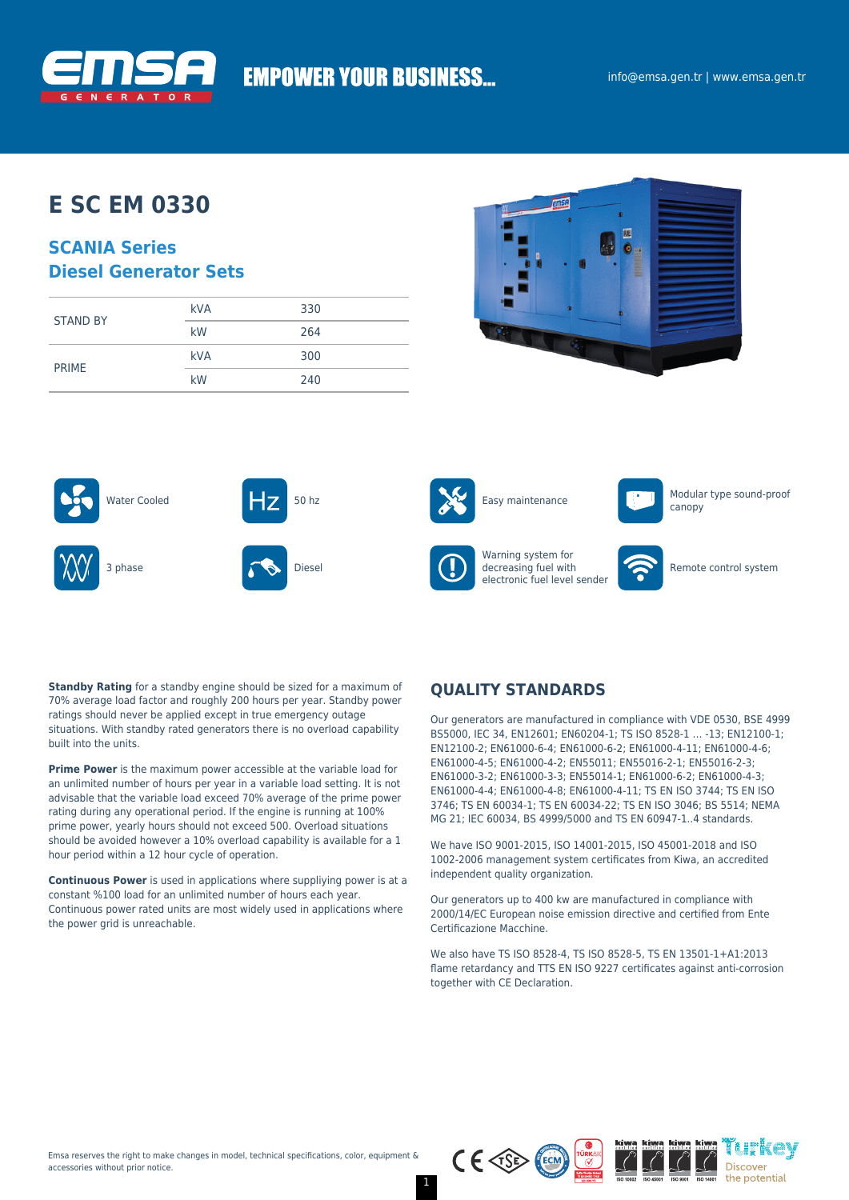

# **EMPOWER YOUR BUSINESS...**

## **E SC EM 0330**

### **SCANIA Series Diesel Generator Sets**

| <b>STAND BY</b> | <b>kVA</b> | 330 |
|-----------------|------------|-----|
|                 | kW         | 264 |
|                 | <b>kVA</b> | 300 |
| <b>PRIME</b>    | kW         | 240 |







Warning system for decreasing fuel with electronic fuel level sender



canopy



Remote control system

**Standby Rating** for a standby engine should be sized for a maximum of 70% average load factor and roughly 200 hours per year. Standby power ratings should never be applied except in true emergency outage situations. With standby rated generators there is no overload capability built into the units.

**Prime Power** is the maximum power accessible at the variable load for an unlimited number of hours per year in a variable load setting. It is not advisable that the variable load exceed 70% average of the prime power rating during any operational period. If the engine is running at 100% prime power, yearly hours should not exceed 500. Overload situations should be avoided however a 10% overload capability is available for a 1 hour period within a 12 hour cycle of operation.

**Continuous Power** is used in applications where suppliying power is at a constant %100 load for an unlimited number of hours each year. Continuous power rated units are most widely used in applications where the power grid is unreachable.

### **QUALITY STANDARDS**

Our generators are manufactured in compliance with VDE 0530, BSE 4999 BS5000, IEC 34, EN12601; EN60204-1; TS ISO 8528-1 … -13; EN12100-1; EN12100-2; EN61000-6-4; EN61000-6-2; EN61000-4-11; EN61000-4-6; EN61000-4-5; EN61000-4-2; EN55011; EN55016-2-1; EN55016-2-3; EN61000-3-2; EN61000-3-3; EN55014-1; EN61000-6-2; EN61000-4-3; EN61000-4-4; EN61000-4-8; EN61000-4-11; TS EN ISO 3744; TS EN ISO 3746; TS EN 60034-1; TS EN 60034-22; TS EN ISO 3046; BS 5514; NEMA MG 21; IEC 60034, BS 4999/5000 and TS EN 60947-1..4 standards.

We have ISO 9001-2015, ISO 14001-2015, ISO 45001-2018 and ISO 1002-2006 management system certificates from Kiwa, an accredited independent quality organization.

Our generators up to 400 kw are manufactured in compliance with 2000/14/EC European noise emission directive and certified from Ente Certificazione Macchine.

We also have TS ISO 8528-4, TS ISO 8528-5, TS EN 13501-1+A1:2013 flame retardancy and TTS EN ISO 9227 certificates against anti-corrosion together with CE Declaration.

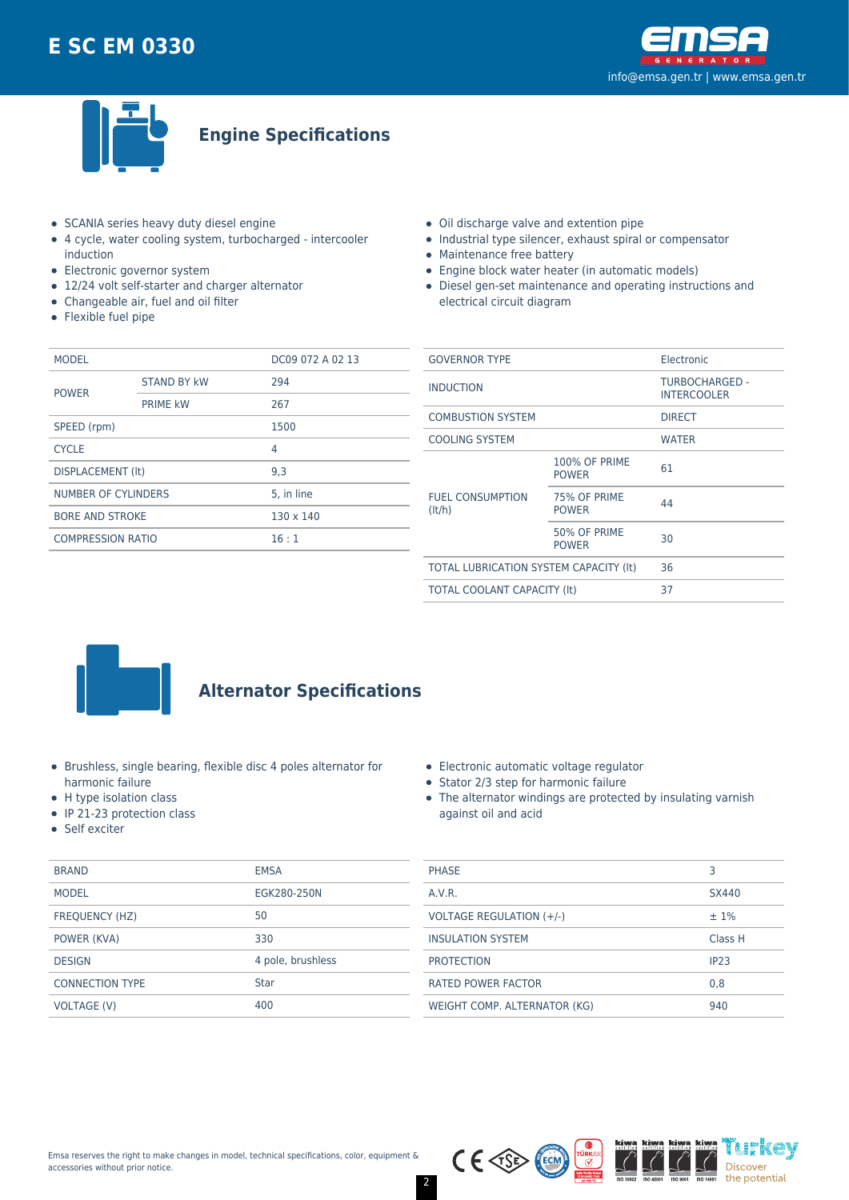



**Engine Specifications**

- SCANIA series heavy duty diesel engine
- 4 cycle, water cooling system, turbocharged intercooler induction
- Electronic governor system
- 12/24 volt self-starter and charger alternator
- Changeable air, fuel and oil filter
- Flexible fuel pipe
- Oil discharge valve and extention pipe
- Industrial type silencer, exhaust spiral or compensator
- Maintenance free battery
- Engine block water heater (in automatic models)
- Diesel gen-set maintenance and operating instructions and electrical circuit diagram

| <b>MODEL</b>             |                    | DC09 072 A 02 13 |  |
|--------------------------|--------------------|------------------|--|
| <b>POWER</b>             | <b>STAND BY kW</b> | 294              |  |
|                          | <b>PRIME kW</b>    | 267              |  |
| SPEED (rpm)              |                    | 1500             |  |
| <b>CYCLE</b>             |                    | 4                |  |
| DISPLACEMENT (It)        |                    | 9.3              |  |
| NUMBER OF CYLINDERS      |                    | 5. in line       |  |
| <b>BORE AND STROKE</b>   |                    | $130 \times 140$ |  |
| <b>COMPRESSION RATIO</b> |                    | 16:1             |  |
|                          |                    |                  |  |

| <b>GOVERNOR TYPE</b>                   |                                      | Electronic                                  |  |
|----------------------------------------|--------------------------------------|---------------------------------------------|--|
| <b>INDUCTION</b>                       |                                      | <b>TURBOCHARGED -</b><br><b>INTERCOOLER</b> |  |
| <b>COMBUSTION SYSTEM</b>               |                                      | <b>DIRECT</b>                               |  |
| <b>COOLING SYSTEM</b>                  |                                      | <b>WATER</b>                                |  |
|                                        | <b>100% OF PRIME</b><br><b>POWER</b> | 61                                          |  |
| <b>FUEL CONSUMPTION</b><br>(lt/h)      | 75% OF PRIME<br><b>POWER</b>         | 44                                          |  |
|                                        | 50% OF PRIME<br><b>POWER</b>         | 30                                          |  |
| TOTAL LUBRICATION SYSTEM CAPACITY (It) |                                      | 36                                          |  |
| <b>TOTAL COOLANT CAPACITY (It)</b>     |                                      | 37                                          |  |
|                                        |                                      |                                             |  |



## **Alternator Specifications**

- Brushless, single bearing, flexible disc 4 poles alternator for harmonic failure
- H type isolation class
- IP 21-23 protection class
- Self exciter

| <b>BRAND</b>           | <b>EMSA</b>       |
|------------------------|-------------------|
| <b>MODEL</b>           | EGK280-250N       |
| <b>FREQUENCY (HZ)</b>  | 50                |
| POWER (KVA)            | 330               |
| <b>DESIGN</b>          | 4 pole, brushless |
| <b>CONNECTION TYPE</b> | <b>Star</b>       |
| VOLTAGE (V)            | 400               |

|  | Electronic automatic voltage regulator |  |
|--|----------------------------------------|--|
|  |                                        |  |

- Stator 2/3 step for harmonic failure
- The alternator windings are protected by insulating varnish against oil and acid

| <b>PHASE</b>                 | З                |
|------------------------------|------------------|
| A.V.R.                       | SX440            |
| VOLTAGE REGULATION (+/-)     | $±1\%$           |
| <b>INSULATION SYSTEM</b>     | Class H          |
| <b>PROTECTION</b>            | IP <sub>23</sub> |
| <b>RATED POWER FACTOR</b>    | 0,8              |
| WEIGHT COMP. ALTERNATOR (KG) | 940              |

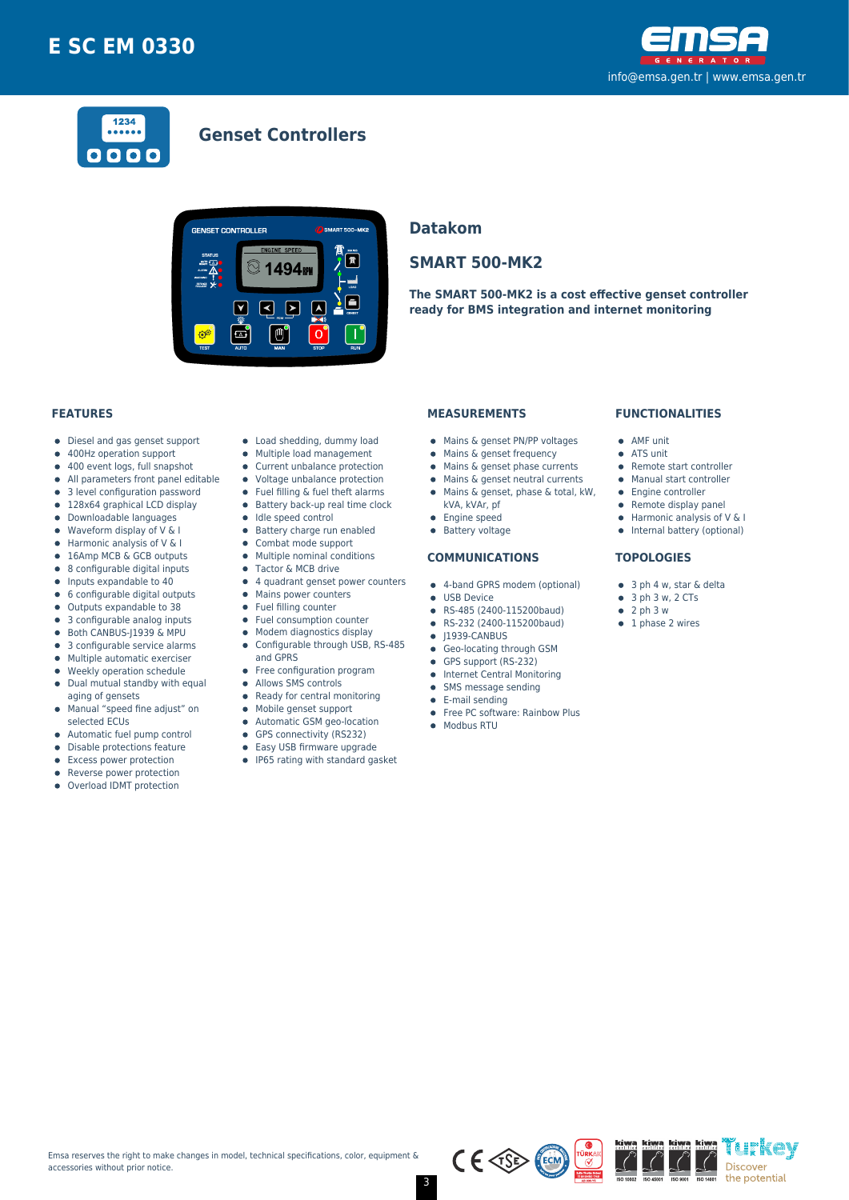



### **Genset Controllers**



### **Datakom**

### **SMART 500-MK2**

**The SMART 500-MK2 is a cost effective genset controller ready for BMS integration and internet monitoring**

#### **FEATURES**

- Diesel and gas genset support  $\bullet$
- 400Hz operation support  $\bullet$
- $\bullet$ 400 event logs, full snapshot
- All parameters front panel editable  $\bullet$
- 3 level configuration password 128x64 graphical LCD display  $\bullet$
- 
- Downloadable languages  $\bullet$
- Waveform display of V & I  $\bullet$
- Harmonic analysis of V & I 16Amp MCB & GCB outputs
- 8 configurable digital inputs  $\bullet$
- $\bullet$ Inputs expandable to 40
- $\bullet$ 6 configurable digital outputs
- Outputs expandable to 38  $\bullet$
- 3 configurable analog inputs
- Both CANBUS-J1939 & MPU  $\bullet$
- 3 configurable service alarms  $\bullet$
- $\bullet$ Multiple automatic exerciser
- Weekly operation schedule  $\blacksquare$
- $\bullet$ Dual mutual standby with equal aging of gensets
- Manual "speed fine adjust" on  $\bullet$ selected ECUs
- $\bullet$
- Automatic fuel pump control  $\bullet$
- Disable protections feature
- Excess power protection
- Reverse power protection
- Overload IDMT protection
- Load shedding, dummy load
- Multiple load management  $\bullet$
- Current unbalance protection
- Voltage unbalance protection
- $\bullet$ Fuel filling & fuel theft alarms
- $\bullet$  Battery back-up real time clock
- Idle speed control
- **•** Battery charge run enabled  $\bullet$
- Combat mode support  $\bullet$ Multiple nominal conditions
- Tactor & MCB drive
- 4 quadrant genset power counters
- Mains power counters
- Fuel filling counter
- $\bullet$ Fuel consumption counter
- Modem diagnostics display  $\bullet$
- Configurable through USB, RS-485  $\bullet$
- and GPRS
- Free configuration program
- $\bullet$ Allows SMS controls
- $\bullet$ Ready for central monitoring
- Mobile genset support  $\bullet$
- Automatic GSM geo-location  $\bullet$
- $\bullet$ GPS connectivity (RS232)
- $\bullet$ Easy USB firmware upgrade
- IP65 rating with standard gasket

#### **MEASUREMENTS**

- Mains & genset PN/PP voltages
- Mains & genset frequency
- $\bullet$  Mains & genset phase currents
- $\bullet$  Mains & genset neutral currents
- Mains & genset, phase & total, kW,
	- kVA, kVAr, pf
- **•** Engine speed
- **•** Battery voltage

#### **COMMUNICATIONS**

- 4-band GPRS modem (optional)
- **CONTRACTE OF LISR Device**
- RS-485 (2400-115200baud)
- RS-232 (2400-115200baud)  $\bullet$
- $\bullet$  J1939-CANBUS
- **Geo-locating through GSM**
- GPS support (RS-232)
- **•** Internet Central Monitoring
- SMS message sending  $\bullet$
- E-mail sending
- Free PC software: Rainbow Plus
- Modbus RTU

#### **FUNCTIONALITIES**

- AMF unit
- ATS unit
- Remote start controller
- Manual start controller
- Engine controller
- $\bullet$  Remote display panel
- $\bullet$  Harmonic analysis of V & I
- Internal battery (optional)

#### **TOPOLOGIES**

- 3 ph 4 w, star & delta
- $\bullet$  3 ph 3 w, 2 CTs
- $\bullet$  2 ph 3 w
- $\bullet$  1 phase 2 wires





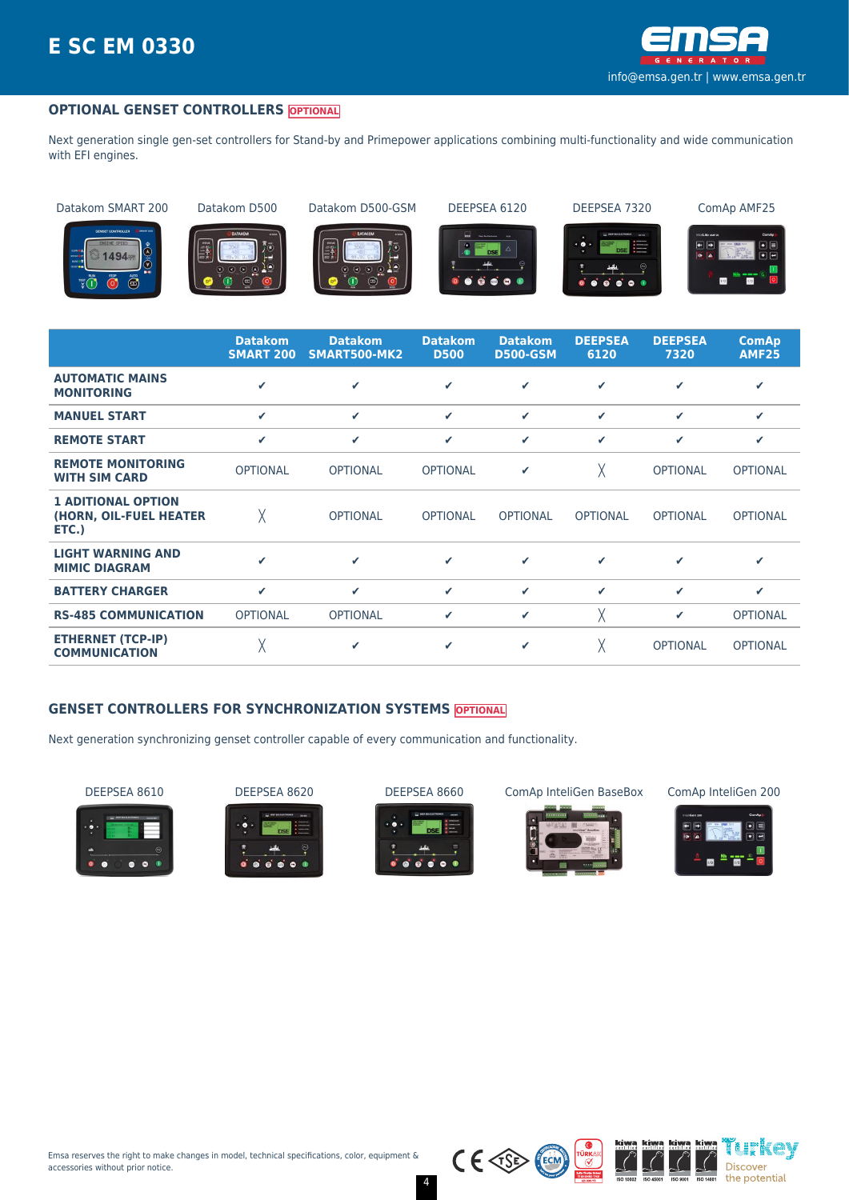

#### **OPTIONAL GENSET CONTROLLERS OPTIONAL**

Next generation single gen-set controllers for Stand-by and Primepower applications combining multi-functionality and wide communication with EFI engines.

Datakom SMART 200 Datakom D500 Datakom D500-GSM DEEPSEA 6120 DEEPSEA 7320 ComAp AMF25



















|                                                              | <b>Datakom</b><br><b>SMART 200</b> | <b>Datakom</b><br>SMART500-MK2 | <b>Datakom</b><br><b>D500</b> | <b>Datakom</b><br><b>D500-GSM</b> | <b>DEEPSEA</b><br>6120 | <b>DEEPSEA</b><br>7320 | <b>ComAp</b><br><b>AMF25</b> |
|--------------------------------------------------------------|------------------------------------|--------------------------------|-------------------------------|-----------------------------------|------------------------|------------------------|------------------------------|
| <b>AUTOMATIC MAINS</b><br><b>MONITORING</b>                  | ✔                                  | ✓                              | ✓                             | ✓                                 | ✓                      | ✔                      | ✓                            |
| <b>MANUEL START</b>                                          | ✓                                  | $\checkmark$                   | ✓                             | ✓                                 | ✓                      | ✔                      | ✔                            |
| <b>REMOTE START</b>                                          | $\checkmark$                       | $\checkmark$                   | ✓                             | ✓                                 | ✓                      | ✔                      | ✔                            |
| <b>REMOTE MONITORING</b><br><b>WITH SIM CARD</b>             | <b>OPTIONAL</b>                    | <b>OPTIONAL</b>                | <b>OPTIONAL</b>               | ✔                                 | χ                      | <b>OPTIONAL</b>        | <b>OPTIONAL</b>              |
| <b>1 ADITIONAL OPTION</b><br>(HORN, OIL-FUEL HEATER<br>ETC.) | χ                                  | <b>OPTIONAL</b>                | <b>OPTIONAL</b>               | <b>OPTIONAL</b>                   | <b>OPTIONAL</b>        | <b>OPTIONAL</b>        | <b>OPTIONAL</b>              |
| <b>LIGHT WARNING AND</b><br><b>MIMIC DIAGRAM</b>             | ✔                                  | ✓                              | ✓                             | ✓                                 | ✓                      | ✔                      | ✓                            |
| <b>BATTERY CHARGER</b>                                       | ✓                                  | $\checkmark$                   | ✓                             | ✓                                 | ✓                      | ✓                      | ✔                            |
| <b>RS-485 COMMUNICATION</b>                                  | <b>OPTIONAL</b>                    | <b>OPTIONAL</b>                | ✓                             | ✓                                 | χ                      | ✔                      | <b>OPTIONAL</b>              |
| <b>ETHERNET (TCP-IP)</b><br><b>COMMUNICATION</b>             | χ                                  | ✔                              | ✓                             | ✓                                 | χ                      | <b>OPTIONAL</b>        | <b>OPTIONAL</b>              |

#### **GENSET CONTROLLERS FOR SYNCHRONIZATION SYSTEMS OPTIONAL**

Next generation synchronizing genset controller capable of every communication and functionality.

















 $\overline{(\overline{\mathcal{C}})}$ 

4

 $C \in \text{CSP}$